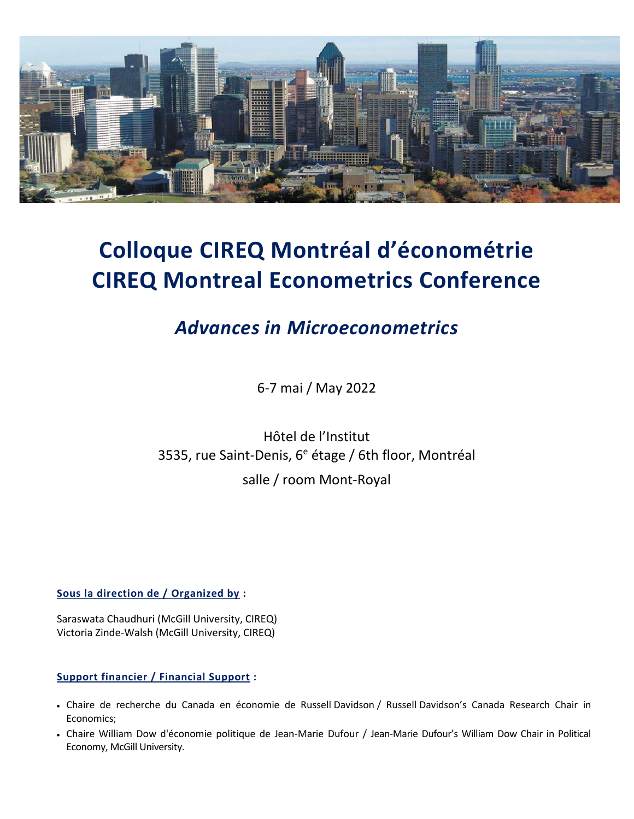

# **Colloque CIREQ Montréal d'économétrie CIREQ Montreal Econometrics Conference**

## *Advances in Microeconometrics*

6-7 mai / May 2022

Hôtel de l'Institut 3535, rue Saint-Denis,  $6^e$  étage / 6th floor, Montréal salle / room Mont-Royal

**Sous la direction de / Organized by :**

Saraswata Chaudhuri (McGill University, CIREQ) Victoria Zinde-Walsh (McGill University, CIREQ)

#### **Support financier / Financial Support :**

- Chaire de recherche du Canada en économie de Russell Davidson / Russell Davidson's Canada Research Chair in Economics;
- Chaire William Dow d'économie politique de Jean-Marie Dufour / Jean-Marie Dufour's William Dow Chair in Political Economy, McGill University.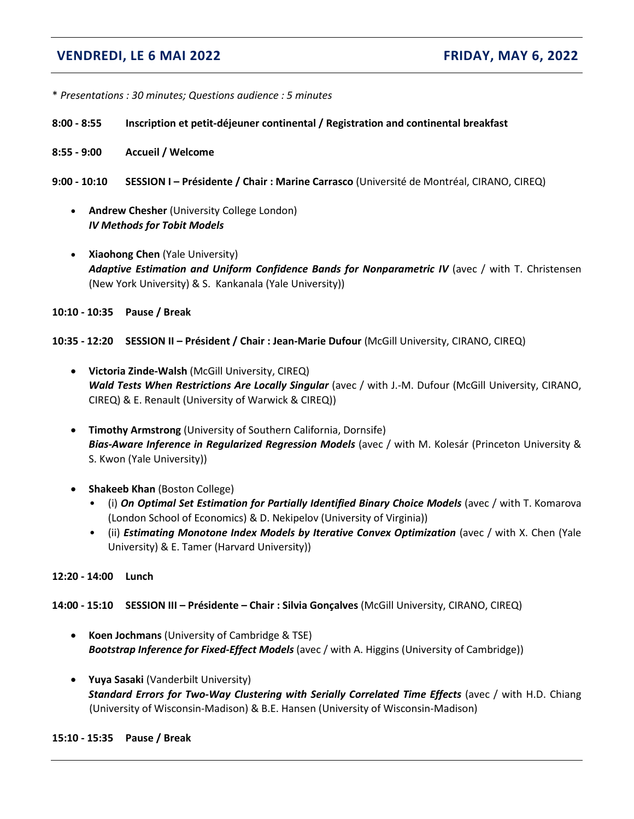### **VENDREDI, LE 6 MAI 2022 FRIDAY, MAY 6, 2022**

- \* *Presentations : 30 minutes; Questions audience : 5 minutes*
- **8:00 - 8:55 Inscription et petit-déjeuner continental / Registration and continental breakfast**
- **8:55 - 9:00 Accueil / Welcome**
- **9:00 - 10:10 SESSION I – Présidente / Chair : Marine Carrasco** (Université de Montréal, CIRANO, CIREQ)
	- **Andrew Chesher** (University College London) *IV Methods for Tobit Models*
	- **Xiaohong Chen** (Yale University) *Adaptive Estimation and Uniform Confidence Bands for Nonparametric IV* (avec / with T. Christensen (New York University) & S. Kankanala (Yale University))
- **10:10 - 10:35 Pause / Break**

**10:35 - 12:20 SESSION II – Président / Chair : Jean-Marie Dufour** (McGill University, CIRANO, CIREQ)

- **Victoria Zinde-Walsh** (McGill University, CIREQ) *Wald Tests When Restrictions Are Locally Singular* (avec / with J.-M. Dufour (McGill University, CIRANO, CIREQ) & E. Renault (University of Warwick & CIREQ))
- **Timothy Armstrong** (University of Southern California, Dornsife) *Bias-Aware Inference in Regularized Regression Models* (avec / with M. Kolesár (Princeton University & S. Kwon (Yale University))
- **Shakeeb Khan** (Boston College)
	- (i) *On Optimal Set Estimation for Partially Identified Binary Choice Models* (avec / with T. Komarova (London School of Economics) & D. Nekipelov (University of Virginia))
	- (ii) *Estimating Monotone Index Models by Iterative Convex Optimization* (avec / with X. Chen (Yale University) & E. Tamer (Harvard University))
- **12:20 - 14:00 Lunch**

#### **14:00 - 15:10 SESSION III – Présidente – Chair : Silvia Gonçalves** (McGill University, CIRANO, CIREQ)

- **Koen Jochmans** (University of Cambridge & TSE) *Bootstrap Inference for Fixed-Effect Models* (avec / with A. Higgins (University of Cambridge))
- **Yuya Sasaki** (Vanderbilt University) *Standard Errors for Two-Way Clustering with Serially Correlated Time Effects* (avec / with H.D. Chiang (University of Wisconsin-Madison) & B.E. Hansen (University of Wisconsin-Madison)

#### **15:10 - 15:35 Pause / Break**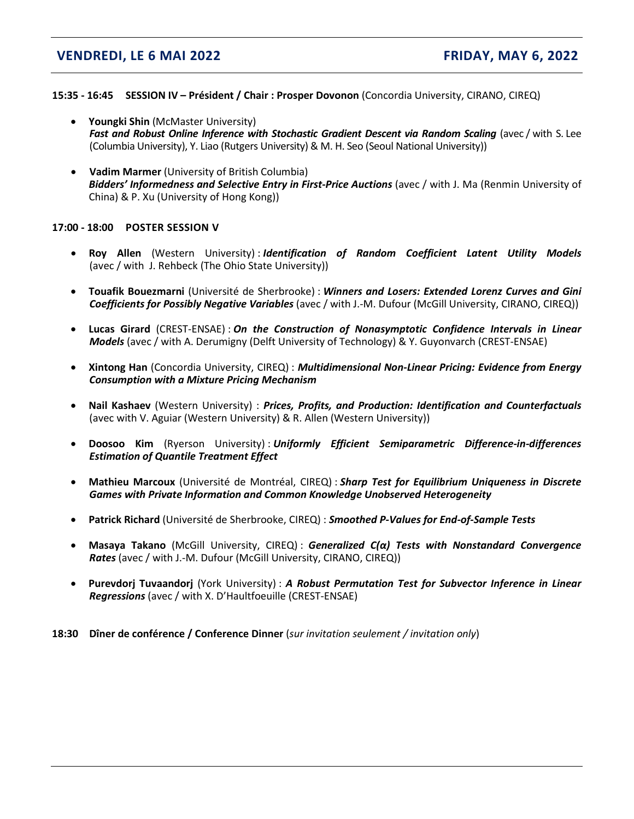#### **VENDREDI, LE 6 MAI 2022 FRIDAY, MAY 6, 2022**

#### **15:35 - 16:45 SESSION IV – Président / Chair : Prosper Dovonon** (Concordia University, CIRANO, CIREQ)

- **Youngki Shin** (McMaster University) *Fast and Robust Online Inference with Stochastic Gradient Descent via Random Scaling* (avec / with S. Lee (Columbia University), Y. Liao (Rutgers University) & M. H. Seo (Seoul National University))
- **Vadim Marmer** (University of British Columbia) *Bidders' Informedness and Selective Entry in First-Price Auctions* (avec / with J. Ma (Renmin University of China) & P. Xu (University of Hong Kong))

#### **17:00 - 18:00 POSTER SESSION V**

- **Roy Allen** (Western University) : *Identification of Random Coefficient Latent Utility Models* (avec / with J. Rehbeck (The Ohio State University))
- **Touafik Bouezmarni** (Université de Sherbrooke) : *Winners and Losers: Extended Lorenz Curves and Gini Coefficients for Possibly Negative Variables* (avec / with J.-M. Dufour (McGill University, CIRANO, CIREQ))
- **Lucas Girard** (CREST-ENSAE) : *On the Construction of Nonasymptotic Confidence Intervals in Linear Models* (avec / with A. Derumigny (Delft University of Technology) & Y. Guyonvarch (CREST-ENSAE)
- **Xintong Han** (Concordia University, CIREQ) : *Multidimensional Non-Linear Pricing: Evidence from Energy Consumption with a Mixture Pricing Mechanism*
- **Nail Kashaev** (Western University) : *Prices, Profits, and Production: Identification and Counterfactuals* (avec with V. Aguiar (Western University) & R. Allen (Western University))
- **Doosoo Kim** (Ryerson University) : *Uniformly Efficient Semiparametric Difference-in-differences Estimation of Quantile Treatment Effect*
- **Mathieu Marcoux** (Université de Montréal, CIREQ) : *Sharp Test for Equilibrium Uniqueness in Discrete Games with Private Information and Common Knowledge Unobserved Heterogeneity*
- **Patrick Richard** (Université de Sherbrooke, CIREQ) : *Smoothed P-Values for End-of-Sample Tests*
- **Masaya Takano** (McGill University, CIREQ) : *Generalized C(α) Tests with Nonstandard Convergence Rates* (avec / with J.-M. Dufour (McGill University, CIRANO, CIREQ))
- **Purevdorj Tuvaandorj** (York University) : *A Robust Permutation Test for Subvector Inference in Linear Regressions* (avec / with X. D'Haultfoeuille (CREST-ENSAE)
- **18:30 Dîner de conférence / Conference Dinner** (*sur invitation seulement / invitation only*)